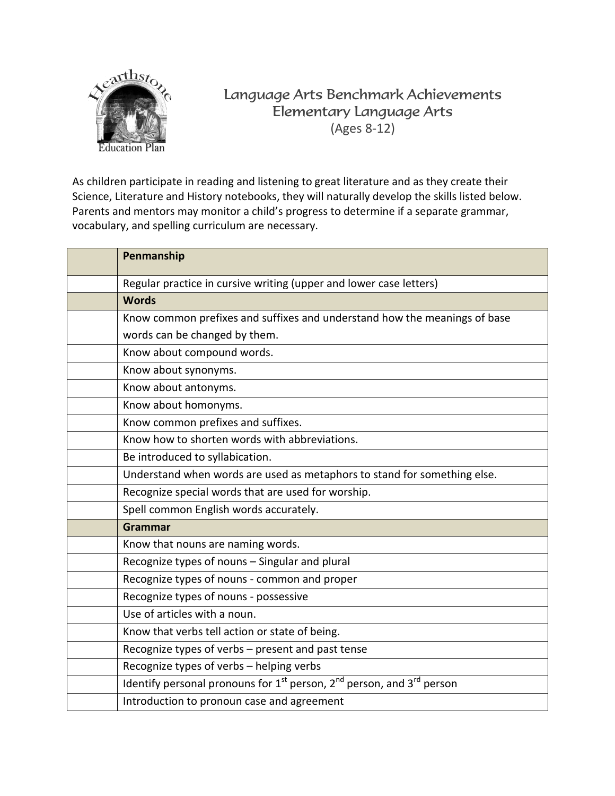

## Language Arts Benchmark Achievements Elementary Language Arts (Ages 8-12)

As children participate in reading and listening to great literature and as they create their Science, Literature and History notebooks, they will naturally develop the skills listed below. Parents and mentors may monitor a child's progress to determine if a separate grammar, vocabulary, and spelling curriculum are necessary.

| Penmanship                                                                           |
|--------------------------------------------------------------------------------------|
| Regular practice in cursive writing (upper and lower case letters)                   |
| <b>Words</b>                                                                         |
| Know common prefixes and suffixes and understand how the meanings of base            |
| words can be changed by them.                                                        |
| Know about compound words.                                                           |
| Know about synonyms.                                                                 |
| Know about antonyms.                                                                 |
| Know about homonyms.                                                                 |
| Know common prefixes and suffixes.                                                   |
| Know how to shorten words with abbreviations.                                        |
| Be introduced to syllabication.                                                      |
| Understand when words are used as metaphors to stand for something else.             |
| Recognize special words that are used for worship.                                   |
| Spell common English words accurately.                                               |
| <b>Grammar</b>                                                                       |
| Know that nouns are naming words.                                                    |
| Recognize types of nouns - Singular and plural                                       |
| Recognize types of nouns - common and proper                                         |
| Recognize types of nouns - possessive                                                |
| Use of articles with a noun.                                                         |
| Know that verbs tell action or state of being.                                       |
| Recognize types of verbs - present and past tense                                    |
| Recognize types of verbs - helping verbs                                             |
| Identify personal pronouns for $1^{st}$ person, $2^{nd}$ person, and $3^{rd}$ person |
| Introduction to pronoun case and agreement                                           |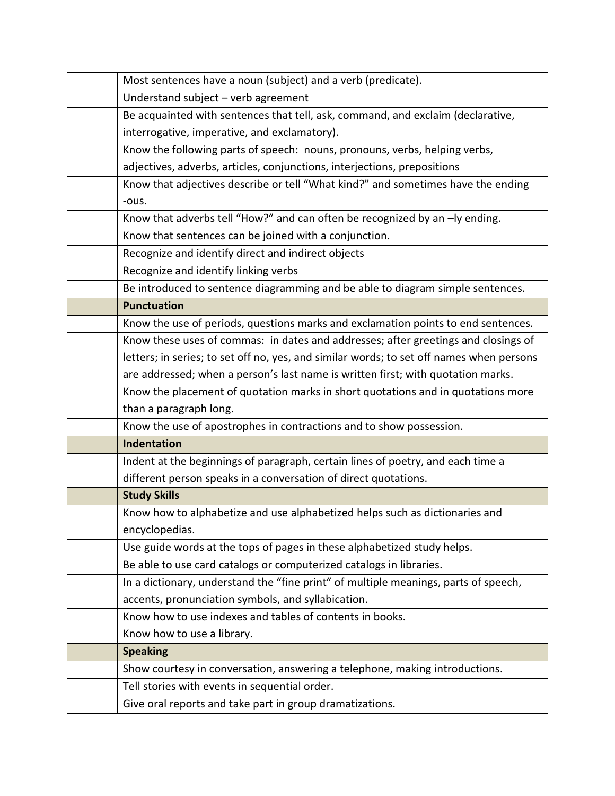| Most sentences have a noun (subject) and a verb (predicate).                             |  |
|------------------------------------------------------------------------------------------|--|
| Understand subject - verb agreement                                                      |  |
| Be acquainted with sentences that tell, ask, command, and exclaim (declarative,          |  |
| interrogative, imperative, and exclamatory).                                             |  |
| Know the following parts of speech: nouns, pronouns, verbs, helping verbs,               |  |
| adjectives, adverbs, articles, conjunctions, interjections, prepositions                 |  |
| Know that adjectives describe or tell "What kind?" and sometimes have the ending         |  |
| -ous.                                                                                    |  |
| Know that adverbs tell "How?" and can often be recognized by an -ly ending.              |  |
| Know that sentences can be joined with a conjunction.                                    |  |
| Recognize and identify direct and indirect objects                                       |  |
| Recognize and identify linking verbs                                                     |  |
| Be introduced to sentence diagramming and be able to diagram simple sentences.           |  |
| <b>Punctuation</b>                                                                       |  |
| Know the use of periods, questions marks and exclamation points to end sentences.        |  |
| Know these uses of commas: in dates and addresses; after greetings and closings of       |  |
| letters; in series; to set off no, yes, and similar words; to set off names when persons |  |
| are addressed; when a person's last name is written first; with quotation marks.         |  |
| Know the placement of quotation marks in short quotations and in quotations more         |  |
| than a paragraph long.                                                                   |  |
| Know the use of apostrophes in contractions and to show possession.                      |  |
| <b>Indentation</b>                                                                       |  |
| Indent at the beginnings of paragraph, certain lines of poetry, and each time a          |  |
| different person speaks in a conversation of direct quotations.                          |  |
| <b>Study Skills</b>                                                                      |  |
| Know how to alphabetize and use alphabetized helps such as dictionaries and              |  |
| encyclopedias.                                                                           |  |
| Use guide words at the tops of pages in these alphabetized study helps.                  |  |
| Be able to use card catalogs or computerized catalogs in libraries.                      |  |
| In a dictionary, understand the "fine print" of multiple meanings, parts of speech,      |  |
| accents, pronunciation symbols, and syllabication.                                       |  |
| Know how to use indexes and tables of contents in books.                                 |  |
| Know how to use a library.                                                               |  |
| <b>Speaking</b>                                                                          |  |
| Show courtesy in conversation, answering a telephone, making introductions.              |  |
| Tell stories with events in sequential order.                                            |  |
| Give oral reports and take part in group dramatizations.                                 |  |